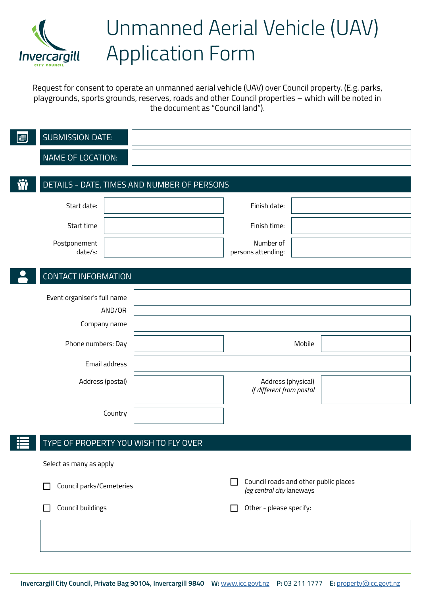

# Unmanned Aerial Vehicle (UAV) Application Form

Request for consent to operate an unmanned aerial vehicle (UAV) over Council property. (E.g. parks, playgrounds, sports grounds, reserves, roads and other Council properties – which will be noted in the document as "Council land").

|   | <b>SUBMISSION DATE:</b>     |         |                                             |    |                                                                    |  |
|---|-----------------------------|---------|---------------------------------------------|----|--------------------------------------------------------------------|--|
|   | NAME OF LOCATION:           |         |                                             |    |                                                                    |  |
|   |                             |         |                                             |    |                                                                    |  |
| Ŵ |                             |         | DETAILS - DATE, TIMES AND NUMBER OF PERSONS |    |                                                                    |  |
|   | Start date:                 |         |                                             |    | Finish date:                                                       |  |
|   | Start time                  |         |                                             |    | Finish time:                                                       |  |
|   | Postponement<br>date/s:     |         |                                             |    | Number of<br>persons attending:                                    |  |
|   |                             |         |                                             |    |                                                                    |  |
|   | <b>CONTACT INFORMATION</b>  |         |                                             |    |                                                                    |  |
|   | Event organiser's full name |         |                                             |    |                                                                    |  |
|   |                             | AND/OR  |                                             |    |                                                                    |  |
|   | Company name                |         |                                             |    |                                                                    |  |
|   | Phone numbers: Day          |         |                                             |    | Mobile                                                             |  |
|   | Email address               |         |                                             |    |                                                                    |  |
|   | Address (postal)            |         |                                             |    | Address (physical)<br>If different from postal                     |  |
|   |                             | Country |                                             |    |                                                                    |  |
| Н |                             |         | TYPE OF PROPERTY YOU WISH TO FLY OVER       |    |                                                                    |  |
|   | Select as many as apply     |         |                                             |    |                                                                    |  |
|   | Council parks/Cemeteries    |         |                                             | ΙI | Council roads and other public places<br>(eg central city laneways |  |
|   | Council buildings           |         |                                             |    | Other - please specify:                                            |  |
|   |                             |         |                                             |    |                                                                    |  |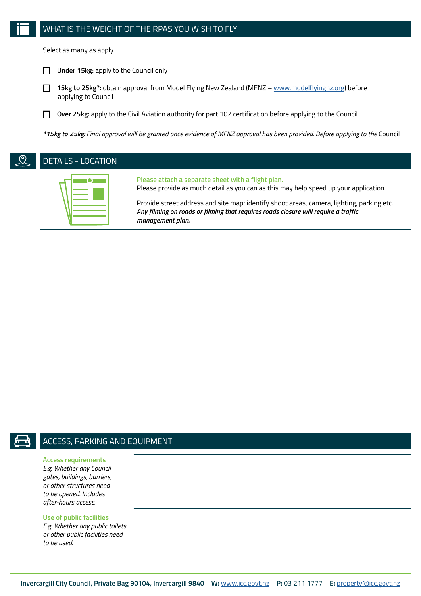#### WHAT IS THE WEIGHT OF THE RPAS YOU WISH TO FLY

Select as many as apply



 **15kg to 25kg\*:** obtain approval from Model Flying New Zealand (MFNZ – [www.modelflyingnz.org](mailto:www.modelflyingnz.org?subject=)) before applying to Council

**Over 25kg:** apply to the Civil Aviation authority for part 102 certification before applying to the Council

*\*15kg to 25kg: Final approval will be granted once evidence of MFNZ approval has been provided. Before applying to the* Council



DETAILS - LOCATION

**Please attach a separate sheet with a flight plan.**

Please provide as much detail as you can as this may help speed up your application.

Provide street address and site map; identify shoot areas, camera, lighting, parking etc. *Any filming on roads or filming that requires roads closure will require a traffic management plan.*

# $\bigoplus$

### ACCESS, PARKING AND EQUIPMENT

#### **Access requirements**

*E.g. Whether any Council gates, buildings, barriers, or other structures need to be opened. Includes after-hours access.*

#### **Use of public facilities**

*E.g. Whether any public toilets or other public facilities need to be used.*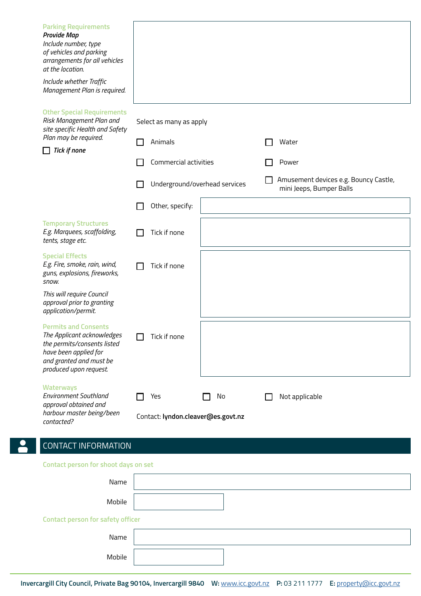| <b>Parking Requirements</b><br><b>Provide Map</b><br>Include number, type<br>of vehicles and parking<br>arrangements for all vehicles<br>at the location.<br>Include whether Traffic<br>Management Plan is required. |                                                 |                                                                   |
|----------------------------------------------------------------------------------------------------------------------------------------------------------------------------------------------------------------------|-------------------------------------------------|-------------------------------------------------------------------|
| <b>Other Special Requirements</b><br>Risk Management Plan and<br>site specific Health and Safety                                                                                                                     | Select as many as apply                         |                                                                   |
| Plan may be required.<br><b>Tick if none</b>                                                                                                                                                                         | Animals                                         | Water                                                             |
|                                                                                                                                                                                                                      | Commercial activities                           | Power                                                             |
|                                                                                                                                                                                                                      | Underground/overhead services                   | Amusement devices e.g. Bouncy Castle,<br>mini Jeeps, Bumper Balls |
|                                                                                                                                                                                                                      | Other, specify:                                 |                                                                   |
| <b>Temporary Structures</b><br>E.g. Marquees, scaffolding,<br>tents, stage etc.                                                                                                                                      | Tick if none                                    |                                                                   |
| <b>Special Effects</b><br>E.g. Fire, smoke, rain, wind,<br>guns, explosions, fireworks,<br>snow.                                                                                                                     | Tick if none                                    |                                                                   |
| This will require Council<br>approval prior to granting<br>application/permit.                                                                                                                                       |                                                 |                                                                   |
| <b>Permits and Consents</b><br>The Applicant acknowledges<br>the permits/consents listed<br>have been applied for<br>and granted and must be<br>produced upon request.                                               | Tick if none                                    |                                                                   |
| <b>Waterways</b><br><b>Environment Southland</b><br>approval obtained and<br>harbour master being/been                                                                                                               | Yes<br>No<br>Contact: lyndon.cleaver@es.govt.nz | Not applicable                                                    |
| contacted?<br><b>CONTACT INFORMATION</b>                                                                                                                                                                             |                                                 |                                                                   |

**Contact person for shoot days on set** 

 $\mathbf{S}$ 

| Name                                     |  |
|------------------------------------------|--|
| Mobile                                   |  |
| <b>Contact person for safety officer</b> |  |
| Name                                     |  |
| Mobile                                   |  |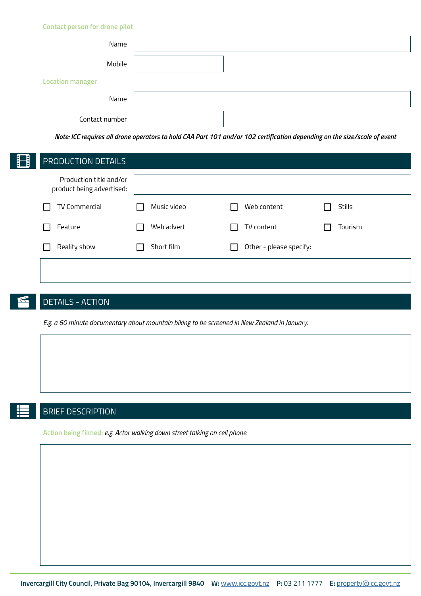| <b>Contact person for drone pilot</b> |  |
|---------------------------------------|--|
| Name                                  |  |
| Mobile                                |  |
| <b>Location manager</b>               |  |
| Name                                  |  |
| Contact number                        |  |

*Note: ICC requires all drone operators to hold CAA Part 101 and/or 102 certification depending on the size/scale of event*

| <b>PRODUCTION DETAILS</b>                            |            |             |                         |               |
|------------------------------------------------------|------------|-------------|-------------------------|---------------|
| Production title and/or<br>product being advertised: |            |             |                         |               |
| <b>TV Commercial</b>                                 |            | Music video | Web content             | <b>Stills</b> |
| Feature                                              |            | Web advert  | TV content              | Tourism       |
| Reality show                                         | Short film |             | Other - please specify: |               |
|                                                      |            |             |                         |               |
|                                                      |            |             |                         |               |

# DETAILS - ACTION

*E.g. a 60 minute documentary about mountain biking to be screened in New Zealand in January.*

# BRIEF DESCRIPTION

**Action being filmed:** *e.g. Actor walking down street talking on cell phone.*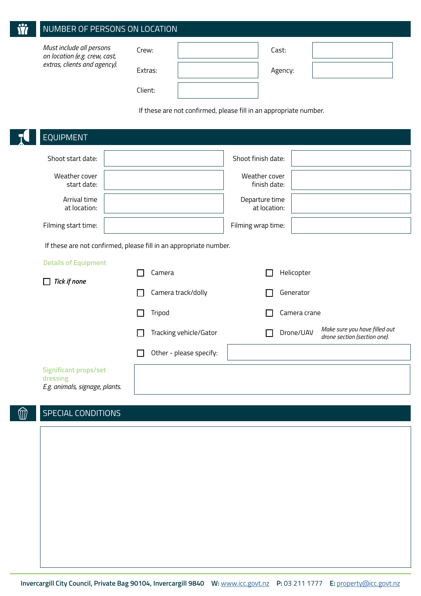| $\overline{\mathbf{a}}$ | NUMBER OF PERSONS ON LOCATION                             |         |         |  |
|-------------------------|-----------------------------------------------------------|---------|---------|--|
|                         | Must include all persons<br>on location (e.g. crew, cast, | Crew:   | Cast:   |  |
|                         | extras, clients and agency).                              | Extras: | Agency: |  |
|                         |                                                           | Client: |         |  |

If these are not confirmed, please fill in an appropriate number.

| <b>EQUIPMENT</b>                                                           |                                                                   |                                |              |                                                               |
|----------------------------------------------------------------------------|-------------------------------------------------------------------|--------------------------------|--------------|---------------------------------------------------------------|
| Shoot start date:                                                          |                                                                   | Shoot finish date:             |              |                                                               |
| Weather cover<br>start date:                                               |                                                                   | Weather cover<br>finish date:  |              |                                                               |
| Arrival time<br>at location:                                               |                                                                   | Departure time<br>at location: |              |                                                               |
| Filming start time:                                                        |                                                                   | Filming wrap time:             |              |                                                               |
|                                                                            | If these are not confirmed, please fill in an appropriate number. |                                |              |                                                               |
| <b>Details of Equipment</b>                                                |                                                                   |                                |              |                                                               |
| <b>Tick if none</b>                                                        | Camera                                                            |                                | Helicopter   |                                                               |
|                                                                            | Camera track/dolly                                                |                                | Generator    |                                                               |
|                                                                            | Tripod                                                            |                                | Camera crane |                                                               |
|                                                                            | Tracking vehicle/Gator                                            |                                | Drone/UAV    | Make sure you have filled out<br>drone section (section one). |
|                                                                            | Other - please specify:                                           |                                |              |                                                               |
| <b>Significant props/set</b><br>dressing<br>E.g. animals, signage, plants. |                                                                   |                                |              |                                                               |
|                                                                            |                                                                   |                                |              |                                                               |

#### SPECIAL CONDITIONSM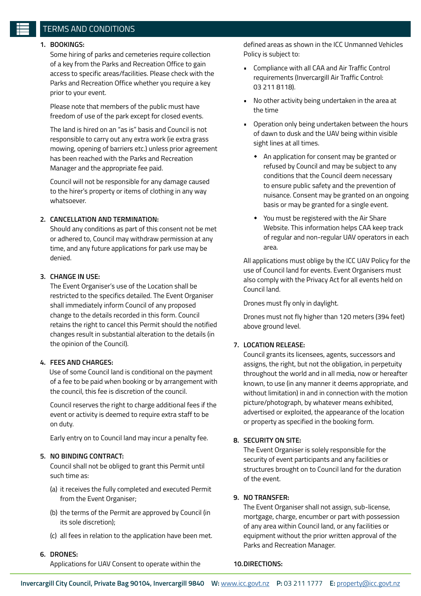#### TERMS AND CONDITIONS

#### **1. BOOKINGS:**

Some hiring of parks and cemeteries require collection of a key from the Parks and Recreation Office to gain access to specific areas/facilities. Please check with the Parks and Recreation Office whether you require a key prior to your event.

Please note that members of the public must have freedom of use of the park except for closed events.

The land is hired on an "as is" basis and Council is not responsible to carry out any extra work (ie extra grass mowing, opening of barriers etc.) unless prior agreement has been reached with the Parks and Recreation Manager and the appropriate fee paid.

Council will not be responsible for any damage caused to the hirer's property or items of clothing in any way whatsoever.

#### **2. CANCELLATION AND TERMINATION:**

Should any conditions as part of this consent not be met or adhered to, Council may withdraw permission at any time, and any future applications for park use may be denied.

#### **3. CHANGE IN USE:**

 The Event Organiser's use of the Location shall be restricted to the specifics detailed. The Event Organiser shall immediately inform Council of any proposed change to the details recorded in this form. Council retains the right to cancel this Permit should the notified changes result in substantial alteration to the details (in the opinion of the Council).

#### **4. FEES AND CHARGES:**

 Use of some Council land is conditional on the payment of a fee to be paid when booking or by arrangement with the council, this fee is discretion of the council.

Council reserves the right to charge additional fees if the event or activity is deemed to require extra staff to be on duty.

Early entry on to Council land may incur a penalty fee.

#### **5. NO BINDING CONTRACT:**

 Council shall not be obliged to grant this Permit until such time as:

- (a) it receives the fully completed and executed Permit from the Event Organiser;
- (b) the terms of the Permit are approved by Council (in its sole discretion);
- (c) all fees in relation to the application have been met.
- **6. DRONES:**

Applications for UAV Consent to operate within the

defined areas as shown in the ICC Unmanned Vehicles Policy is subject to:

- Compliance with all CAA and Air Traffic Control requirements (Invercargill Air Traffic Control: 03 211 8118).
- No other activity being undertaken in the area at the time
- Operation only being undertaken between the hours of dawn to dusk and the UAV being within visible sight lines at all times.
	- An application for consent may be granted or refused by Council and may be subject to any conditions that the Council deem necessary to ensure public safety and the prevention of nuisance. Consent may be granted on an ongoing basis or may be granted for a single event.
	- You must be registered with the Air Share Website. This information helps CAA keep track of regular and non-regular UAV operators in each area.

All applications must oblige by the ICC UAV Policy for the use of Council land for events. Event Organisers must also comply with the Privacy Act for all events held on Council land.

Drones must fly only in daylight.

Drones must not fly higher than 120 meters (394 feet) above ground level.

#### **7. LOCATION RELEASE:**

 Council grants its licensees, agents, successors and assigns, the right, but not the obligation, in perpetuity throughout the world and in all media, now or hereafter known, to use (in any manner it deems appropriate, and without limitation) in and in connection with the motion picture/photograph, by whatever means exhibited, advertised or exploited, the appearance of the location or property as specified in the booking form.

#### **8. SECURITY ON SITE:**

 The Event Organiser is solely responsible for the security of event participants and any facilities or structures brought on to Council land for the duration of the event.

#### **9. NO TRANSFER:**

 The Event Organiser shall not assign, sub-license, mortgage, charge, encumber or part with possession of any area within Council land, or any facilities or equipment without the prior written approval of the Parks and Recreation Manager.

#### **10.DIRECTIONS:**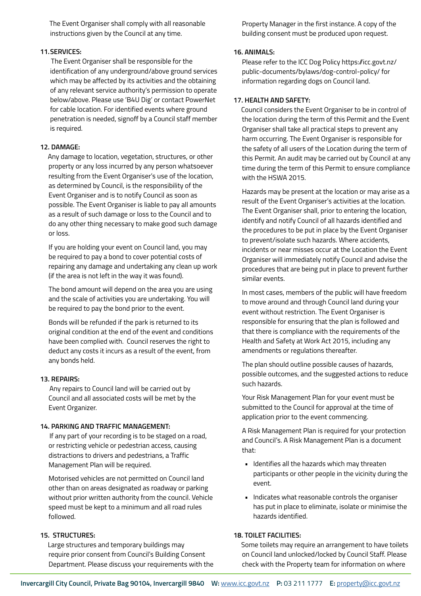The Event Organiser shall comply with all reasonable instructions given by the Council at any time.

#### **11.SERVICES:**

 The Event Organiser shall be responsible for the identification of any underground/above ground services which may be affected by its activities and the obtaining of any relevant service authority's permission to operate below/above. Please use 'B4U Dig' or contact PowerNet for cable location. For identified events where ground penetration is needed, signoff by a Council staff member is required.

#### **12. DAMAGE:**

 Any damage to location, vegetation, structures, or other property or any loss incurred by any person whatsoever resulting from the Event Organiser's use of the location, as determined by Council, is the responsibility of the Event Organiser and is to notify Council as soon as possible. The Event Organiser is liable to pay all amounts as a result of such damage or loss to the Council and to do any other thing necessary to make good such damage or loss.

If you are holding your event on Council land, you may be required to pay a bond to cover potential costs of repairing any damage and undertaking any clean up work (if the area is not left in the way it was found).

The bond amount will depend on the area you are using and the scale of activities you are undertaking. You will be required to pay the bond prior to the event.

Bonds will be refunded if the park is returned to its original condition at the end of the event and conditions have been complied with. Council reserves the right to deduct any costs it incurs as a result of the event, from any bonds held.

#### **13. REPAIRS:**

 Any repairs to Council land will be carried out by Council and all associated costs will be met by the Event Organizer.

#### **14. PARKING AND TRAFFIC MANAGEMENT:**

 If any part of your recording is to be staged on a road, or restricting vehicle or pedestrian access, causing distractions to drivers and pedestrians, a Traffic Management Plan will be required.

Motorised vehicles are not permitted on Council land other than on areas designated as roadway or parking without prior written authority from the council. Vehicle speed must be kept to a minimum and all road rules followed.

#### **15. STRUCTURES:**

 Large structures and temporary buildings may require prior consent from Council's Building Consent Department. Please discuss your requirements with the Property Manager in the first instance. A copy of the building consent must be produced upon request.

#### **16. ANIMALS:**

Please refer to the ICC Dog Policy https://icc.govt.nz/ public-documents/bylaws/dog-control-policy/ for information regarding dogs on Council land.

#### **17. HEALTH AND SAFETY:**

 Council considers the Event Organiser to be in control of the location during the term of this Permit and the Event Organiser shall take all practical steps to prevent any harm occurring. The Event Organiser is responsible for the safety of all users of the Location during the term of this Permit. An audit may be carried out by Council at any time during the term of this Permit to ensure compliance with the HSWA 2015.

Hazards may be present at the location or may arise as a result of the Event Organiser's activities at the location. The Event Organiser shall, prior to entering the location, identify and notify Council of all hazards identified and the procedures to be put in place by the Event Organiser to prevent/isolate such hazards. Where accidents, incidents or near misses occur at the Location the Event Organiser will immediately notify Council and advise the procedures that are being put in place to prevent further similar events.

In most cases, members of the public will have freedom to move around and through Council land during your event without restriction. The Event Organiser is responsible for ensuring that the plan is followed and that there is compliance with the requirements of the Health and Safety at Work Act 2015, including any amendments or regulations thereafter.

The plan should outline possible causes of hazards, possible outcomes, and the suggested actions to reduce such hazards.

Your Risk Management Plan for your event must be submitted to the Council for approval at the time of application prior to the event commencing.

A Risk Management Plan is required for your protection and Council's. A Risk Management Plan is a document that:

- Identifies all the hazards which may threaten participants or other people in the vicinity during the event.
- Indicates what reasonable controls the organiser has put in place to eliminate, isolate or minimise the hazards identified.

#### **18. TOILET FACILITIES:**

 Some toilets may require an arrangement to have toilets on Council land unlocked/locked by Council Staff. Please check with the Property team for information on where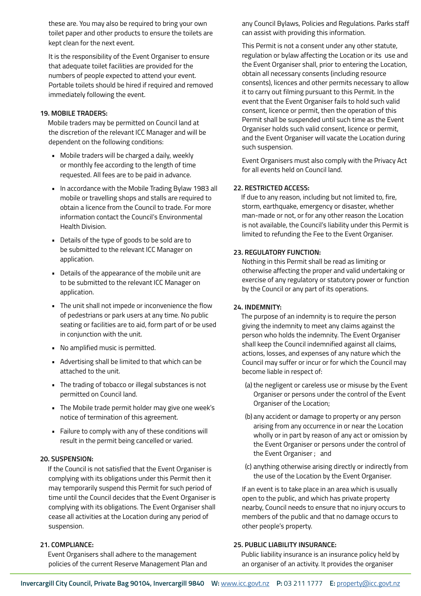these are. You may also be required to bring your own toilet paper and other products to ensure the toilets are kept clean for the next event.

It is the responsibility of the Event Organiser to ensure that adequate toilet facilities are provided for the numbers of people expected to attend your event. Portable toilets should be hired if required and removed immediately following the event.

#### **19. MOBILE TRADERS:**

 Mobile traders may be permitted on Council land at the discretion of the relevant ICC Manager and will be dependent on the following conditions:

- Mobile traders will be charged a daily, weekly or monthly fee according to the length of time requested. All fees are to be paid in advance.
- In accordance with the Mobile Trading Bylaw 1983 all mobile or travelling shops and stalls are required to obtain a licence from the Council to trade. For more information contact the Council's Environmental Health Division.
- Details of the type of goods to be sold are to be submitted to the relevant ICC Manager on application.
- Details of the appearance of the mobile unit are to be submitted to the relevant ICC Manager on application.
- The unit shall not impede or inconvenience the flow of pedestrians or park users at any time. No public seating or facilities are to aid, form part of or be used in conjunction with the unit.
- No amplified music is permitted.
- Advertising shall be limited to that which can be attached to the unit.
- The trading of tobacco or illegal substances is not permitted on Council land.
- The Mobile trade permit holder may give one week's notice of termination of this agreement.
- Failure to comply with any of these conditions will result in the permit being cancelled or varied.

#### **20. SUSPENSION:**

 If the Council is not satisfied that the Event Organiser is complying with its obligations under this Permit then it may temporarily suspend this Permit for such period of time until the Council decides that the Event Organiser is complying with its obligations. The Event Organiser shall cease all activities at the Location during any period of suspension.

#### **21. COMPLIANCE:**

 Event Organisers shall adhere to the management policies of the current Reserve Management Plan and any Council Bylaws, Policies and Regulations. Parks staff can assist with providing this information.

This Permit is not a consent under any other statute, regulation or bylaw affecting the Location or its use and the Event Organiser shall, prior to entering the Location, obtain all necessary consents (including resource consents), licences and other permits necessary to allow it to carry out filming pursuant to this Permit. In the event that the Event Organiser fails to hold such valid consent, licence or permit, then the operation of this Permit shall be suspended until such time as the Event Organiser holds such valid consent, licence or permit, and the Event Organiser will vacate the Location during such suspension.

Event Organisers must also comply with the Privacy Act for all events held on Council land.

#### **22. RESTRICTED ACCESS:**

 If due to any reason, including but not limited to, fire, storm, earthquake, emergency or disaster, whether man-made or not, or for any other reason the Location is not available, the Council's liability under this Permit is limited to refunding the Fee to the Event Organiser.

#### **23. REGULATORY FUNCTION:**

 Nothing in this Permit shall be read as limiting or otherwise affecting the proper and valid undertaking or exercise of any regulatory or statutory power or function by the Council or any part of its operations.

#### **24. INDEMNITY:**

 The purpose of an indemnity is to require the person giving the indemnity to meet any claims against the person who holds the indemnity. The Event Organiser shall keep the Council indemnified against all claims, actions, losses, and expenses of any nature which the Council may suffer or incur or for which the Council may become liable in respect of:

- (a) the negligent or careless use or misuse by the Event Organiser or persons under the control of the Event Organiser of the Location;
- (b) any accident or damage to property or any person arising from any occurrence in or near the Location wholly or in part by reason of any act or omission by the Event Organiser or persons under the control of the Event Organiser ; and
- (c) anything otherwise arising directly or indirectly from the use of the Location by the Event Organiser.

If an event is to take place in an area which is usually open to the public, and which has private property nearby, Council needs to ensure that no injury occurs to members of the public and that no damage occurs to other people's property.

#### **25. PUBLIC LIABILITY INSURANCE:**

 Public liability insurance is an insurance policy held by an organiser of an activity. It provides the organiser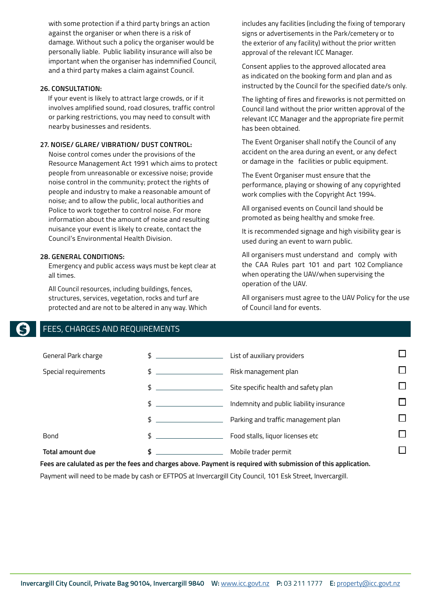with some protection if a third party brings an action against the organiser or when there is a risk of damage. Without such a policy the organiser would be personally liable. Public liability insurance will also be important when the organiser has indemnified Council, and a third party makes a claim against Council.

#### **26. CONSULTATION:**

 If your event is likely to attract large crowds, or if it involves amplified sound, road closures, traffic control or parking restrictions, you may need to consult with nearby businesses and residents.

#### **27. NOISE/ GLARE/ VIBRATION/ DUST CONTROL:**

 Noise control comes under the provisions of the Resource Management Act 1991 which aims to protect people from unreasonable or excessive noise; provide noise control in the community; protect the rights of people and industry to make a reasonable amount of noise; and to allow the public, local authorities and Police to work together to control noise. For more information about the amount of noise and resulting nuisance your event is likely to create, contact the Council's Environmental Health Division.

#### **28. GENERAL CONDITIONS:**

Emergency and public access ways must be kept clear at all times.

All Council resources, including buildings, fences, structures, services, vegetation, rocks and turf are protected and are not to be altered in any way. Which includes any facilities (including the fixing of temporary signs or advertisements in the Park/cemetery or to the exterior of any facility) without the prior written approval of the relevant ICC Manager.

Consent applies to the approved allocated area as indicated on the booking form and plan and as instructed by the Council for the specified date/s only.

The lighting of fires and fireworks is not permitted on Council land without the prior written approval of the relevant ICC Manager and the appropriate fire permit has been obtained.

The Event Organiser shall notify the Council of any accident on the area during an event, or any defect or damage in the facilities or public equipment.

The Event Organiser must ensure that the performance, playing or showing of any copyrighted work complies with the Copyright Act 1994.

All organised events on Council land should be promoted as being healthy and smoke free.

It is recommended signage and high visibility gear is used during an event to warn public.

All organisers must understand and comply with the CAA Rules part 101 and part 102 Compliance when operating the UAV/when supervising the operation of the UAV.

All organisers must agree to the UAV Policy for the use of Council land for events.

#### FEES, CHARGES AND REQUIREMENTS

| General Park charge                                                                                            | \$ | List of auxiliary providers              |  |  |  |
|----------------------------------------------------------------------------------------------------------------|----|------------------------------------------|--|--|--|
| Special requirements                                                                                           | \$ | Risk management plan                     |  |  |  |
|                                                                                                                | \$ | Site specific health and safety plan     |  |  |  |
|                                                                                                                | \$ | Indemnity and public liability insurance |  |  |  |
|                                                                                                                | \$ | Parking and traffic management plan      |  |  |  |
| Bond                                                                                                           | \$ | Food stalls, liquor licenses etc         |  |  |  |
| <b>Total amount due</b>                                                                                        | \$ | Mobile trader permit                     |  |  |  |
| Fees are calulated as per the fees and charges above. Payment is required with submission of this application. |    |                                          |  |  |  |

Payment will need to be made by cash or EFTPOS at Invercargill City Council, 101 Esk Street, Invercargill.